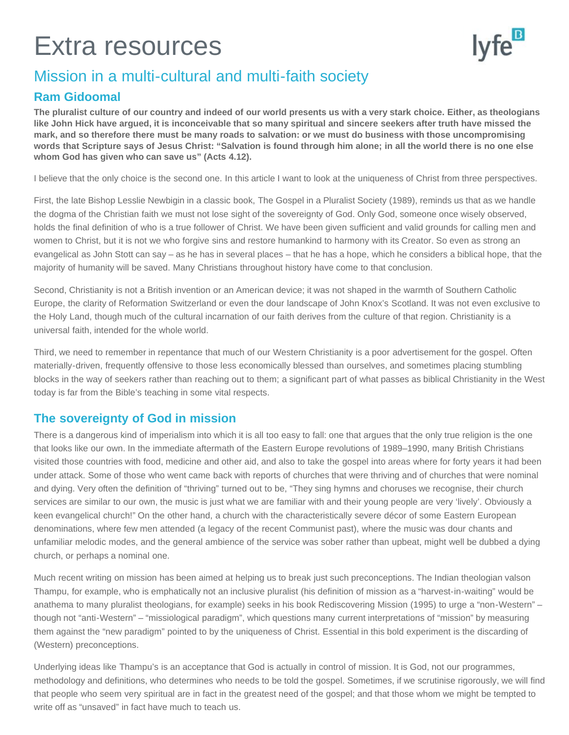# Extra resources



## Mission in a multi-cultural and multi-faith society

### **Ram Gidoomal**

**The pluralist culture of our country and indeed of our world presents us with a very stark choice. Either, as theologians like John Hick have argued, it is inconceivable that so many spiritual and sincere seekers after truth have missed the mark, and so therefore there must be many roads to salvation: or we must do business with those uncompromising words that Scripture says of Jesus Christ: "Salvation is found through him alone; in all the world there is no one else whom God has given who can save us" (Acts 4.12).**

I believe that the only choice is the second one. In this article I want to look at the uniqueness of Christ from three perspectives.

First, the late Bishop Lesslie Newbigin in a classic book, The Gospel in a Pluralist Society (1989), reminds us that as we handle the dogma of the Christian faith we must not lose sight of the sovereignty of God. Only God, someone once wisely observed, holds the final definition of who is a true follower of Christ. We have been given sufficient and valid grounds for calling men and women to Christ, but it is not we who forgive sins and restore humankind to harmony with its Creator. So even as strong an evangelical as John Stott can say – as he has in several places – that he has a hope, which he considers a biblical hope, that the majority of humanity will be saved. Many Christians throughout history have come to that conclusion.

Second, Christianity is not a British invention or an American device; it was not shaped in the warmth of Southern Catholic Europe, the clarity of Reformation Switzerland or even the dour landscape of John Knox's Scotland. It was not even exclusive to the Holy Land, though much of the cultural incarnation of our faith derives from the culture of that region. Christianity is a universal faith, intended for the whole world.

Third, we need to remember in repentance that much of our Western Christianity is a poor advertisement for the gospel. Often materially-driven, frequently offensive to those less economically blessed than ourselves, and sometimes placing stumbling blocks in the way of seekers rather than reaching out to them; a significant part of what passes as biblical Christianity in the West today is far from the Bible's teaching in some vital respects.

#### **The sovereignty of God in mission**

There is a dangerous kind of imperialism into which it is all too easy to fall: one that argues that the only true religion is the one that looks like our own. In the immediate aftermath of the Eastern Europe revolutions of 1989–1990, many British Christians visited those countries with food, medicine and other aid, and also to take the gospel into areas where for forty years it had been under attack. Some of those who went came back with reports of churches that were thriving and of churches that were nominal and dying. Very often the definition of "thriving" turned out to be, "They sing hymns and choruses we recognise, their church services are similar to our own, the music is just what we are familiar with and their young people are very 'lively'. Obviously a keen evangelical church!" On the other hand, a church with the characteristically severe décor of some Eastern European denominations, where few men attended (a legacy of the recent Communist past), where the music was dour chants and unfamiliar melodic modes, and the general ambience of the service was sober rather than upbeat, might well be dubbed a dying church, or perhaps a nominal one.

Much recent writing on mission has been aimed at helping us to break just such preconceptions. The Indian theologian valson Thampu, for example, who is emphatically not an inclusive pluralist (his definition of mission as a "harvest-in-waiting" would be anathema to many pluralist theologians, for example) seeks in his book Rediscovering Mission (1995) to urge a "non-Western" – though not "anti-Western" – "missiological paradigm", which questions many current interpretations of "mission" by measuring them against the "new paradigm" pointed to by the uniqueness of Christ. Essential in this bold experiment is the discarding of (Western) preconceptions.

Underlying ideas like Thampu's is an acceptance that God is actually in control of mission. It is God, not our programmes, methodology and definitions, who determines who needs to be told the gospel. Sometimes, if we scrutinise rigorously, we will find that people who seem very spiritual are in fact in the greatest need of the gospel; and that those whom we might be tempted to write off as "unsaved" in fact have much to teach us.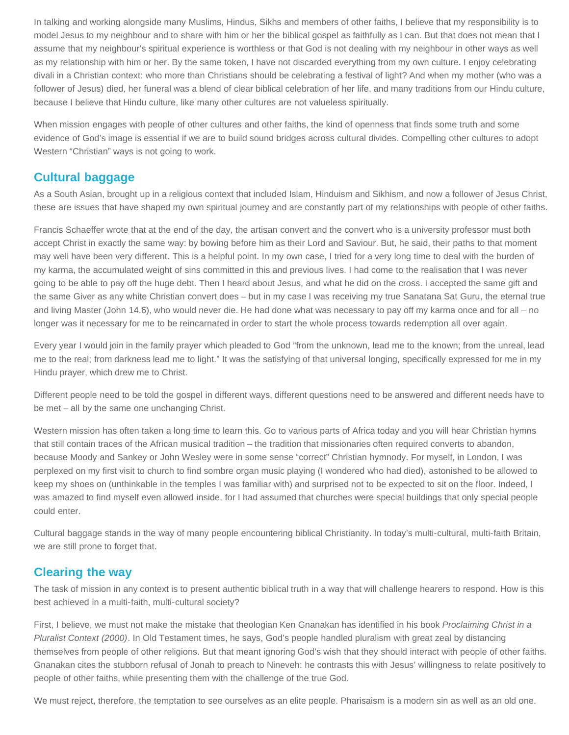In talking and working alongside many Muslims, Hindus, Sikhs and members of other faiths, I believe that my responsibility is to model Jesus to my neighbour and to share with him or her the biblical gospel as faithfully as I can. But that does not mean that I assume that my neighbour's spiritual experience is worthless or that God is not dealing with my neighbour in other ways as well as my relationship with him or her. By the same token, I have not discarded everything from my own culture. I enjoy celebrating divali in a Christian context: who more than Christians should be celebrating a festival of light? And when my mother (who was a follower of Jesus) died, her funeral was a blend of clear biblical celebration of her life, and many traditions from our Hindu culture, because I believe that Hindu culture, like many other cultures are not valueless spiritually.

When mission engages with people of other cultures and other faiths, the kind of openness that finds some truth and some evidence of God's image is essential if we are to build sound bridges across cultural divides. Compelling other cultures to adopt Western "Christian" ways is not going to work.

#### **Cultural baggage**

As a South Asian, brought up in a religious context that included Islam, Hinduism and Sikhism, and now a follower of Jesus Christ, these are issues that have shaped my own spiritual journey and are constantly part of my relationships with people of other faiths.

Francis Schaeffer wrote that at the end of the day, the artisan convert and the convert who is a university professor must both accept Christ in exactly the same way: by bowing before him as their Lord and Saviour. But, he said, their paths to that moment may well have been very different. This is a helpful point. In my own case, I tried for a very long time to deal with the burden of my karma, the accumulated weight of sins committed in this and previous lives. I had come to the realisation that I was never going to be able to pay off the huge debt. Then I heard about Jesus, and what he did on the cross. I accepted the same gift and the same Giver as any white Christian convert does – but in my case I was receiving my true Sanatana Sat Guru, the eternal true and living Master (John 14.6), who would never die. He had done what was necessary to pay off my karma once and for all – no longer was it necessary for me to be reincarnated in order to start the whole process towards redemption all over again.

Every year I would join in the family prayer which pleaded to God "from the unknown, lead me to the known; from the unreal, lead me to the real; from darkness lead me to light." It was the satisfying of that universal longing, specifically expressed for me in my Hindu prayer, which drew me to Christ.

Different people need to be told the gospel in different ways, different questions need to be answered and different needs have to be met – all by the same one unchanging Christ.

Western mission has often taken a long time to learn this. Go to various parts of Africa today and you will hear Christian hymns that still contain traces of the African musical tradition – the tradition that missionaries often required converts to abandon, because Moody and Sankey or John Wesley were in some sense "correct" Christian hymnody. For myself, in London, I was perplexed on my first visit to church to find sombre organ music playing (I wondered who had died), astonished to be allowed to keep my shoes on (unthinkable in the temples I was familiar with) and surprised not to be expected to sit on the floor. Indeed, I was amazed to find myself even allowed inside, for I had assumed that churches were special buildings that only special people could enter.

Cultural baggage stands in the way of many people encountering biblical Christianity. In today's multi-cultural, multi-faith Britain, we are still prone to forget that.

#### **Clearing the way**

The task of mission in any context is to present authentic biblical truth in a way that will challenge hearers to respond. How is this best achieved in a multi-faith, multi-cultural society?

First, I believe, we must not make the mistake that theologian Ken Gnanakan has identified in his book *Proclaiming Christ in a Pluralist Context (2000)*. In Old Testament times, he says, God's people handled pluralism with great zeal by distancing themselves from people of other religions. But that meant ignoring God's wish that they should interact with people of other faiths. Gnanakan cites the stubborn refusal of Jonah to preach to Nineveh: he contrasts this with Jesus' willingness to relate positively to people of other faiths, while presenting them with the challenge of the true God.

We must reject, therefore, the temptation to see ourselves as an elite people. Pharisaism is a modern sin as well as an old one.